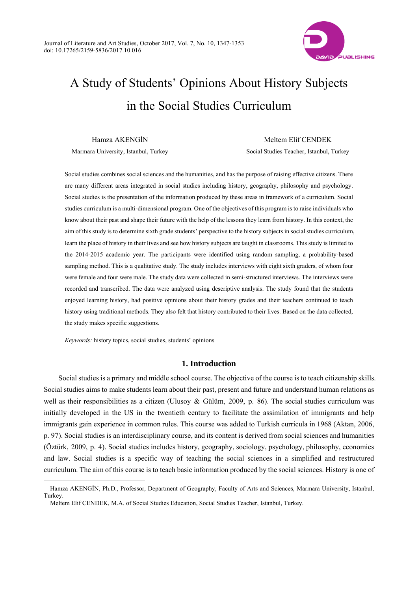

# A Study of Students' Opinions About History Subjects in the Social Studies Curriculum

Hamza AKENGİN Marmara University, Istanbul, Turkey

Meltem Elif CENDEK Social Studies Teacher, Istanbul, Turkey

Social studies combines social sciences and the humanities, and has the purpose of raising effective citizens. There are many different areas integrated in social studies including history, geography, philosophy and psychology. Social studies is the presentation of the information produced by these areas in framework of a curriculum. Social studies curriculum is a multi-dimensional program. One of the objectives of this program is to raise individuals who know about their past and shape their future with the help of the lessons they learn from history. In this context, the aim of this study is to determine sixth grade students' perspective to the history subjects in social studies curriculum, learn the place of history in their lives and see how history subjects are taught in classrooms. This study is limited to the 2014-2015 academic year. The participants were identified using random sampling, a probability-based sampling method. This is a qualitative study. The study includes interviews with eight sixth graders, of whom four were female and four were male. The study data were collected in semi-structured interviews. The interviews were recorded and transcribed. The data were analyzed using descriptive analysis. The study found that the students enjoyed learning history, had positive opinions about their history grades and their teachers continued to teach history using traditional methods. They also felt that history contributed to their lives. Based on the data collected, the study makes specific suggestions.

*Keywords:* history topics, social studies, students' opinions

 $\overline{a}$ 

# **1. Introduction**

Social studies is a primary and middle school course. The objective of the course is to teach citizenship skills. Social studies aims to make students learn about their past, present and future and understand human relations as well as their responsibilities as a citizen (Ulusoy & Gülüm, 2009, p. 86). The social studies curriculum was initially developed in the US in the twentieth century to facilitate the assimilation of immigrants and help immigrants gain experience in common rules. This course was added to Turkish curricula in 1968 (Aktan, 2006, p. 97). Social studies is an interdisciplinary course, and its content is derived from social sciences and humanities (Öztürk, 2009, p. 4). Social studies includes history, geography, sociology, psychology, philosophy, economics and law. Social studies is a specific way of teaching the social sciences in a simplified and restructured curriculum. The aim of this course is to teach basic information produced by the social sciences. History is one of

Hamza AKENGİN, Ph.D., Professor, Department of Geography, Faculty of Arts and Sciences, Marmara University, Istanbul, Turkey.

Meltem Elif CENDEK, M.A. of Social Studies Education, Social Studies Teacher, Istanbul, Turkey.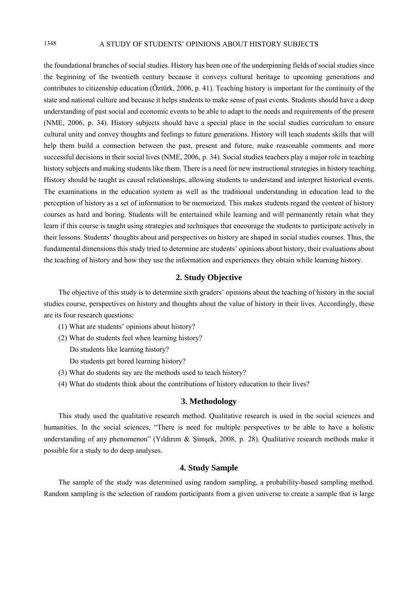# 1348 A STUDY OF STUDENTS' OPINIONS ABOUT HISTORY SUBJECTS

the foundational branches of social studies. History has been one of the underpinning fields of social studies since the beginning of the twentieth century because it conveys cultural heritage to upcoming generations and contributes to citizenship education (Öztürk, 2006, p. 41). Teaching history is important for the continuity of the state and national culture and because it helps students to make sense of past events. Students should have a deep understanding of past social and economic events to be able to adapt to the needs and requirements of the present (NME, 2006, p. 34). History subjects should have a special place in the social studies curriculum to ensure cultural unity and convey thoughts and feelings to future generations. History will teach students skills that will help them build a connection between the past, present and future, make reasonable comments and more successful decisions in their social lives (NME, 2006, p. 34). Social studies teachers play a major role in teaching history subjects and making students like them. There is a need for new instructional strategies in history teaching. History should be taught as causal relationships, allowing students to understand and interpret historical events. The examinations in the education system as well as the traditional understanding in education lead to the perception of history as a set of information to be memorized. This makes students regard the content of history courses as hard and boring. Students will be entertained while learning and will permanently retain what they learn if this course is taught using strategies and techniques that encourage the students to participate actively in their lessons. Students' thoughts about and perspectives on history are shaped in social studies courses. Thus, the fundamental dimensions this study tried to determine are students' opinions about history, their evaluations about the teaching of history and how they use the information and experiences they obtain while learning history.

# **2. Study Objective**

The objective of this study is to determine sixth graders' opinions about the teaching of history in the social studies course, perspectives on history and thoughts about the value of history in their lives. Accordingly, these are its four research questions:

- (1) What are students' opinions about history?
- (2) What do students feel when learning history?
	- Do students like learning history?
	- Do students get bored learning history?
- (3) What do students say are the methods used to teach history?
- (4) What do students think about the contributions of history education to their lives?

## **3. Methodology**

This study used the qualitative research method. Qualitative research is used in the social sciences and humanities. In the social sciences, "There is need for multiple perspectives to be able to have a holistic understanding of any phenomenon" (Yıldırım & Şimşek, 2008, p. 28). Qualitative research methods make it possible for a study to do deep analyses.

# **4. Study Sample**

The sample of the study was determined using random sampling, a probability-based sampling method. Random sampling is the selection of random participants from a given universe to create a sample that is large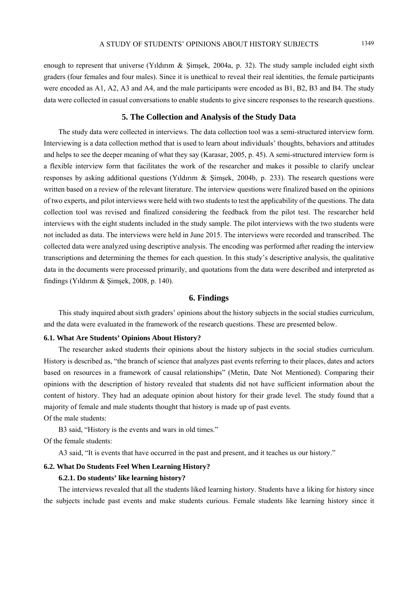enough to represent that universe (Yıldırım & Şimşek, 2004a, p. 32). The study sample included eight sixth graders (four females and four males). Since it is unethical to reveal their real identities, the female participants were encoded as A1, A2, A3 and A4, and the male participants were encoded as B1, B2, B3 and B4. The study data were collected in casual conversations to enable students to give sincere responses to the research questions.

# **5. The Collection and Analysis of the Study Data**

The study data were collected in interviews. The data collection tool was a semi-structured interview form. Interviewing is a data collection method that is used to learn about individuals' thoughts, behaviors and attitudes and helps to see the deeper meaning of what they say (Karasar, 2005, p. 45). A semi-structured interview form is a flexible interview form that facilitates the work of the researcher and makes it possible to clarify unclear responses by asking additional questions (Yıldırım & Şimşek, 2004b, p. 233). The research questions were written based on a review of the relevant literature. The interview questions were finalized based on the opinions of two experts, and pilot interviews were held with two students to test the applicability of the questions. The data collection tool was revised and finalized considering the feedback from the pilot test. The researcher held interviews with the eight students included in the study sample. The pilot interviews with the two students were not included as data. The interviews were held in June 2015. The interviews were recorded and transcribed. The collected data were analyzed using descriptive analysis. The encoding was performed after reading the interview transcriptions and determining the themes for each question. In this study's descriptive analysis, the qualitative data in the documents were processed primarily, and quotations from the data were described and interpreted as findings (Yıldırım  $&$  Simsek, 2008, p. 140).

#### **6. Findings**

This study inquired about sixth graders' opinions about the history subjects in the social studies curriculum, and the data were evaluated in the framework of the research questions. These are presented below.

#### **6.1. What Are Students' Opinions About History?**

The researcher asked students their opinions about the history subjects in the social studies curriculum. History is described as, "the branch of science that analyzes past events referring to their places, dates and actors based on resources in a framework of causal relationships" (Metin, Date Not Mentioned). Comparing their opinions with the description of history revealed that students did not have sufficient information about the content of history. They had an adequate opinion about history for their grade level. The study found that a majority of female and male students thought that history is made up of past events. Of the male students:

B3 said, "History is the events and wars in old times."

Of the female students:

A3 said, "It is events that have occurred in the past and present, and it teaches us our history."

## **6.2. What Do Students Feel When Learning History?**

#### **6.2.1. Do students' like learning history?**

The interviews revealed that all the students liked learning history. Students have a liking for history since the subjects include past events and make students curious. Female students like learning history since it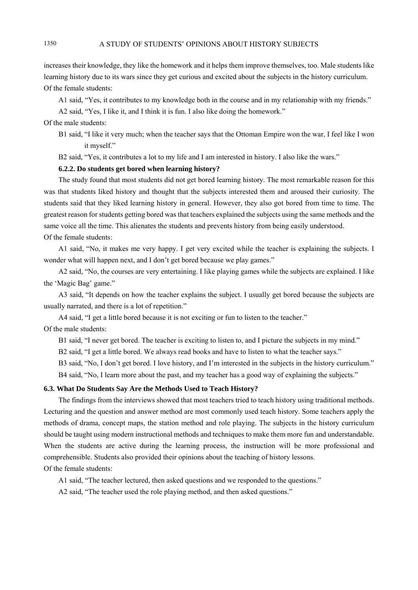increases their knowledge, they like the homework and it helps them improve themselves, too. Male students like learning history due to its wars since they get curious and excited about the subjects in the history curriculum. Of the female students:

A1 said, "Yes, it contributes to my knowledge both in the course and in my relationship with my friends."

A2 said, "Yes, I like it, and I think it is fun. I also like doing the homework."

Of the male students:

B1 said, "I like it very much; when the teacher says that the Ottoman Empire won the war, I feel like I won it myself."

B2 said, "Yes, it contributes a lot to my life and I am interested in history. I also like the wars."

# **6.2.2. Do students get bored when learning history?**

The study found that most students did not get bored learning history. The most remarkable reason for this was that students liked history and thought that the subjects interested them and aroused their curiosity. The students said that they liked learning history in general. However, they also got bored from time to time. The greatest reason for students getting bored was that teachers explained the subjects using the same methods and the same voice all the time. This alienates the students and prevents history from being easily understood. Of the female students:

A1 said, "No, it makes me very happy. I get very excited while the teacher is explaining the subjects. I wonder what will happen next, and I don't get bored because we play games."

A2 said, "No, the courses are very entertaining. I like playing games while the subjects are explained. I like the 'Magic Bag' game."

A3 said, "It depends on how the teacher explains the subject. I usually get bored because the subjects are usually narrated, and there is a lot of repetition."

A4 said, "I get a little bored because it is not exciting or fun to listen to the teacher."

Of the male students:

B1 said, "I never get bored. The teacher is exciting to listen to, and I picture the subjects in my mind."

B2 said, "I get a little bored. We always read books and have to listen to what the teacher says."

B3 said, "No, I don't get bored. I love history, and I'm interested in the subjects in the history curriculum."

B4 said, "No, I learn more about the past, and my teacher has a good way of explaining the subjects."

### **6.3. What Do Students Say Are the Methods Used to Teach History?**

The findings from the interviews showed that most teachers tried to teach history using traditional methods. Lecturing and the question and answer method are most commonly used teach history. Some teachers apply the methods of drama, concept maps, the station method and role playing. The subjects in the history curriculum should be taught using modern instructional methods and techniques to make them more fun and understandable. When the students are active during the learning process, the instruction will be more professional and comprehensible. Students also provided their opinions about the teaching of history lessons. Of the female students:

A1 said, "The teacher lectured, then asked questions and we responded to the questions."

A2 said, "The teacher used the role playing method, and then asked questions."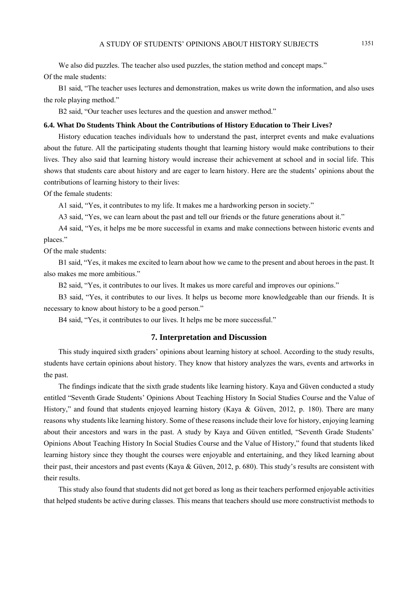We also did puzzles. The teacher also used puzzles, the station method and concept maps." Of the male students:

B1 said, "The teacher uses lectures and demonstration, makes us write down the information, and also uses the role playing method."

B2 said, "Our teacher uses lectures and the question and answer method."

#### **6.4. What Do Students Think About the Contributions of History Education to Their Lives?**

History education teaches individuals how to understand the past, interpret events and make evaluations about the future. All the participating students thought that learning history would make contributions to their lives. They also said that learning history would increase their achievement at school and in social life. This shows that students care about history and are eager to learn history. Here are the students' opinions about the contributions of learning history to their lives:

Of the female students:

A1 said, "Yes, it contributes to my life. It makes me a hardworking person in society."

A3 said, "Yes, we can learn about the past and tell our friends or the future generations about it."

A4 said, "Yes, it helps me be more successful in exams and make connections between historic events and places."

Of the male students:

B1 said, "Yes, it makes me excited to learn about how we came to the present and about heroes in the past. It also makes me more ambitious."

B2 said, "Yes, it contributes to our lives. It makes us more careful and improves our opinions."

B3 said, "Yes, it contributes to our lives. It helps us become more knowledgeable than our friends. It is necessary to know about history to be a good person."

B4 said, "Yes, it contributes to our lives. It helps me be more successful."

# **7. Interpretation and Discussion**

This study inquired sixth graders' opinions about learning history at school. According to the study results, students have certain opinions about history. They know that history analyzes the wars, events and artworks in the past.

The findings indicate that the sixth grade students like learning history. Kaya and Güven conducted a study entitled "Seventh Grade Students' Opinions About Teaching History In Social Studies Course and the Value of History," and found that students enjoyed learning history (Kaya & Güven, 2012, p. 180). There are many reasons why students like learning history. Some of these reasons include their love for history, enjoying learning about their ancestors and wars in the past. A study by Kaya and Güven entitled, "Seventh Grade Students' Opinions About Teaching History In Social Studies Course and the Value of History," found that students liked learning history since they thought the courses were enjoyable and entertaining, and they liked learning about their past, their ancestors and past events (Kaya & Güven, 2012, p. 680). This study's results are consistent with their results.

This study also found that students did not get bored as long as their teachers performed enjoyable activities that helped students be active during classes. This means that teachers should use more constructivist methods to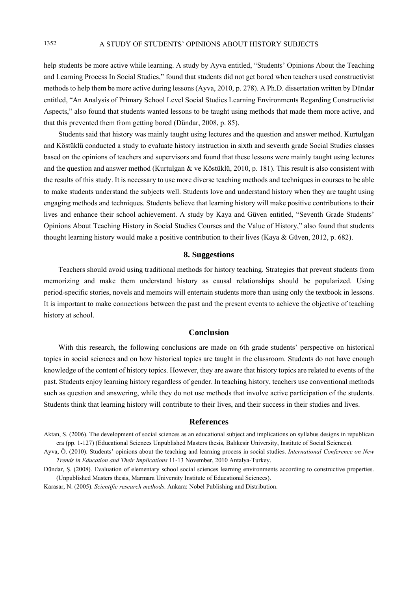help students be more active while learning. A study by Ayva entitled, "Students' Opinions About the Teaching and Learning Process In Social Studies," found that students did not get bored when teachers used constructivist methods to help them be more active during lessons (Ayva, 2010, p. 278). A Ph.D. dissertation written by Dündar entitled, "An Analysis of Primary School Level Social Studies Learning Environments Regarding Constructivist Aspects," also found that students wanted lessons to be taught using methods that made them more active, and that this prevented them from getting bored (Dündar, 2008, p. 85).

Students said that history was mainly taught using lectures and the question and answer method. Kurtulgan and Köstüklü conducted a study to evaluate history instruction in sixth and seventh grade Social Studies classes based on the opinions of teachers and supervisors and found that these lessons were mainly taught using lectures and the question and answer method (Kurtulgan & ve Köstüklü, 2010, p. 181). This result is also consistent with the results of this study. It is necessary to use more diverse teaching methods and techniques in courses to be able to make students understand the subjects well. Students love and understand history when they are taught using engaging methods and techniques. Students believe that learning history will make positive contributions to their lives and enhance their school achievement. A study by Kaya and Güven entitled, "Seventh Grade Students' Opinions About Teaching History in Social Studies Courses and the Value of History," also found that students thought learning history would make a positive contribution to their lives (Kaya & Güven, 2012, p. 682).

#### **8. Suggestions**

Teachers should avoid using traditional methods for history teaching. Strategies that prevent students from memorizing and make them understand history as causal relationships should be popularized. Using period-specific stories, novels and memoirs will entertain students more than using only the textbook in lessons. It is important to make connections between the past and the present events to achieve the objective of teaching history at school.

#### **Conclusion**

With this research, the following conclusions are made on 6th grade students' perspective on historical topics in social sciences and on how historical topics are taught in the classroom. Students do not have enough knowledge of the content of history topics. However, they are aware that history topics are related to events of the past. Students enjoy learning history regardless of gender. In teaching history, teachers use conventional methods such as question and answering, while they do not use methods that involve active participation of the students. Students think that learning history will contribute to their lives, and their success in their studies and lives.

## **References**

Karasar, N. (2005). *Scientific research methods*. Ankara: Nobel Publishing and Distribution.

Aktan, S. (2006). The development of social sciences as an educational subject and implications on syllabus designs in republican era (pp. 1-127) (Educational Sciences Unpublished Masters thesis, Balıkesir University, Institute of Social Sciences).

Ayva, Ö. (2010). Students' opinions about the teaching and learning process in social studies. *International Conference on New Trends in Education and Their Implications* 11-13 November, 2010 Antalya-Turkey.

Dündar, Ş. (2008). Evaluation of elementary school social sciences learning environments according to constructive properties. (Unpublished Masters thesis, Marmara University Institute of Educational Sciences).